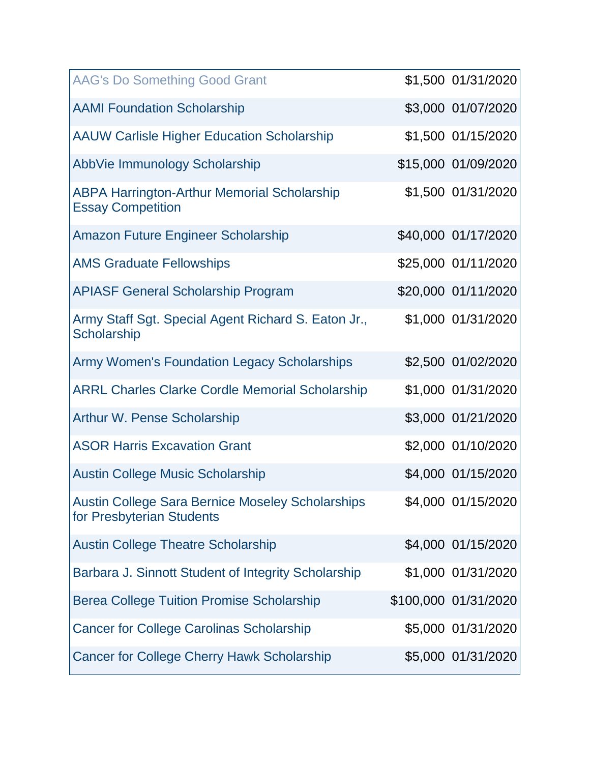| <b>AAG's Do Something Good Grant</b>                                           | \$1,500 01/31/2020   |
|--------------------------------------------------------------------------------|----------------------|
| <b>AAMI Foundation Scholarship</b>                                             | \$3,000 01/07/2020   |
| <b>AAUW Carlisle Higher Education Scholarship</b>                              | \$1,500 01/15/2020   |
| AbbVie Immunology Scholarship                                                  | \$15,000 01/09/2020  |
| <b>ABPA Harrington-Arthur Memorial Scholarship</b><br><b>Essay Competition</b> | \$1,500 01/31/2020   |
| Amazon Future Engineer Scholarship                                             | \$40,000 01/17/2020  |
| <b>AMS Graduate Fellowships</b>                                                | \$25,000 01/11/2020  |
| <b>APIASF General Scholarship Program</b>                                      | \$20,000 01/11/2020  |
| Army Staff Sgt. Special Agent Richard S. Eaton Jr.,<br>Scholarship             | \$1,000 01/31/2020   |
| Army Women's Foundation Legacy Scholarships                                    | \$2,500 01/02/2020   |
| <b>ARRL Charles Clarke Cordle Memorial Scholarship</b>                         | \$1,000 01/31/2020   |
| <b>Arthur W. Pense Scholarship</b>                                             | \$3,000 01/21/2020   |
| <b>ASOR Harris Excavation Grant</b>                                            | \$2,000 01/10/2020   |
| <b>Austin College Music Scholarship</b>                                        | \$4,000 01/15/2020   |
| Austin College Sara Bernice Moseley Scholarships<br>for Presbyterian Students  | \$4,000 01/15/2020   |
| <b>Austin College Theatre Scholarship</b>                                      | \$4,000 01/15/2020   |
| Barbara J. Sinnott Student of Integrity Scholarship                            | \$1,000 01/31/2020   |
| <b>Berea College Tuition Promise Scholarship</b>                               | \$100,000 01/31/2020 |
| <b>Cancer for College Carolinas Scholarship</b>                                | \$5,000 01/31/2020   |
| <b>Cancer for College Cherry Hawk Scholarship</b>                              | \$5,000 01/31/2020   |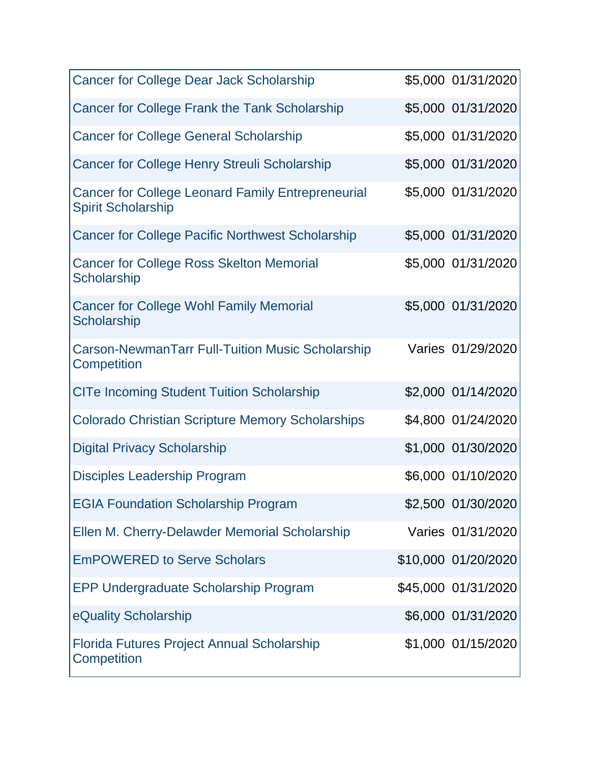| <b>Cancer for College Dear Jack Scholarship</b>                                       | \$5,000 01/31/2020  |
|---------------------------------------------------------------------------------------|---------------------|
| Cancer for College Frank the Tank Scholarship                                         | \$5,000 01/31/2020  |
| <b>Cancer for College General Scholarship</b>                                         | \$5,000 01/31/2020  |
| <b>Cancer for College Henry Streuli Scholarship</b>                                   | \$5,000 01/31/2020  |
| <b>Cancer for College Leonard Family Entrepreneurial</b><br><b>Spirit Scholarship</b> | \$5,000 01/31/2020  |
| <b>Cancer for College Pacific Northwest Scholarship</b>                               | \$5,000 01/31/2020  |
| <b>Cancer for College Ross Skelton Memorial</b><br>Scholarship                        | \$5,000 01/31/2020  |
| <b>Cancer for College Wohl Family Memorial</b><br>Scholarship                         | \$5,000 01/31/2020  |
| <b>Carson-NewmanTarr Full-Tuition Music Scholarship</b><br>Competition                | Varies 01/29/2020   |
| <b>CITe Incoming Student Tuition Scholarship</b>                                      | \$2,000 01/14/2020  |
| <b>Colorado Christian Scripture Memory Scholarships</b>                               | \$4,800 01/24/2020  |
| <b>Digital Privacy Scholarship</b>                                                    | \$1,000 01/30/2020  |
| <b>Disciples Leadership Program</b>                                                   | \$6,000 01/10/2020  |
| <b>EGIA Foundation Scholarship Program</b>                                            | \$2,500 01/30/2020  |
| Ellen M. Cherry-Delawder Memorial Scholarship                                         | Varies 01/31/2020   |
| <b>EmPOWERED to Serve Scholars</b>                                                    | \$10,000 01/20/2020 |
| <b>EPP Undergraduate Scholarship Program</b>                                          | \$45,000 01/31/2020 |
| eQuality Scholarship                                                                  | \$6,000 01/31/2020  |
| <b>Florida Futures Project Annual Scholarship</b><br>Competition                      | \$1,000 01/15/2020  |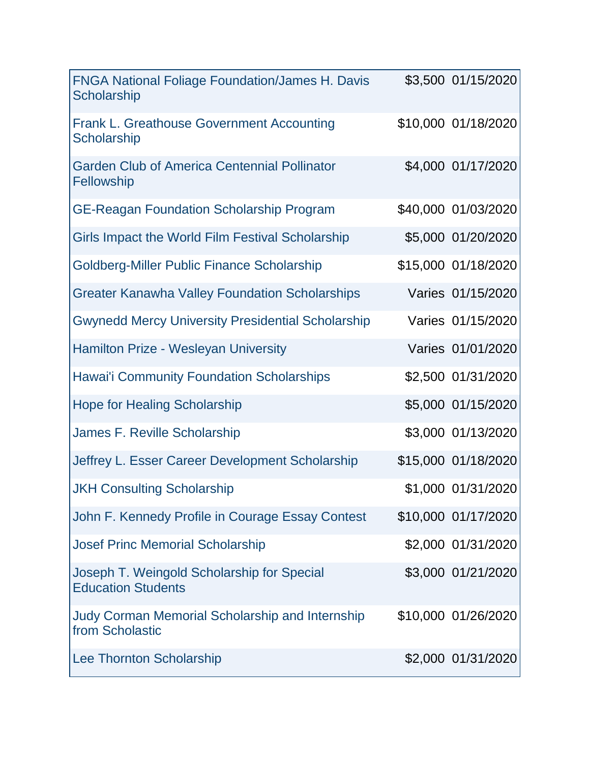| <b>FNGA National Foliage Foundation/James H. Davis</b><br>Scholarship     | \$3,500 01/15/2020  |
|---------------------------------------------------------------------------|---------------------|
| <b>Frank L. Greathouse Government Accounting</b><br><b>Scholarship</b>    | \$10,000 01/18/2020 |
| <b>Garden Club of America Centennial Pollinator</b><br>Fellowship         | \$4,000 01/17/2020  |
| <b>GE-Reagan Foundation Scholarship Program</b>                           | \$40,000 01/03/2020 |
| Girls Impact the World Film Festival Scholarship                          | \$5,000 01/20/2020  |
| Goldberg-Miller Public Finance Scholarship                                | \$15,000 01/18/2020 |
| <b>Greater Kanawha Valley Foundation Scholarships</b>                     | Varies 01/15/2020   |
| <b>Gwynedd Mercy University Presidential Scholarship</b>                  | Varies 01/15/2020   |
| <b>Hamilton Prize - Wesleyan University</b>                               | Varies 01/01/2020   |
| <b>Hawai'i Community Foundation Scholarships</b>                          | \$2,500 01/31/2020  |
| <b>Hope for Healing Scholarship</b>                                       | \$5,000 01/15/2020  |
| <b>James F. Reville Scholarship</b>                                       | \$3,000 01/13/2020  |
| Jeffrey L. Esser Career Development Scholarship                           | \$15,000 01/18/2020 |
| <b>JKH Consulting Scholarship</b>                                         | \$1,000 01/31/2020  |
| John F. Kennedy Profile in Courage Essay Contest                          | \$10,000 01/17/2020 |
| <b>Josef Princ Memorial Scholarship</b>                                   | \$2,000 01/31/2020  |
| Joseph T. Weingold Scholarship for Special<br><b>Education Students</b>   | \$3,000 01/21/2020  |
| <b>Judy Corman Memorial Scholarship and Internship</b><br>from Scholastic | \$10,000 01/26/2020 |
| <b>Lee Thornton Scholarship</b>                                           | \$2,000 01/31/2020  |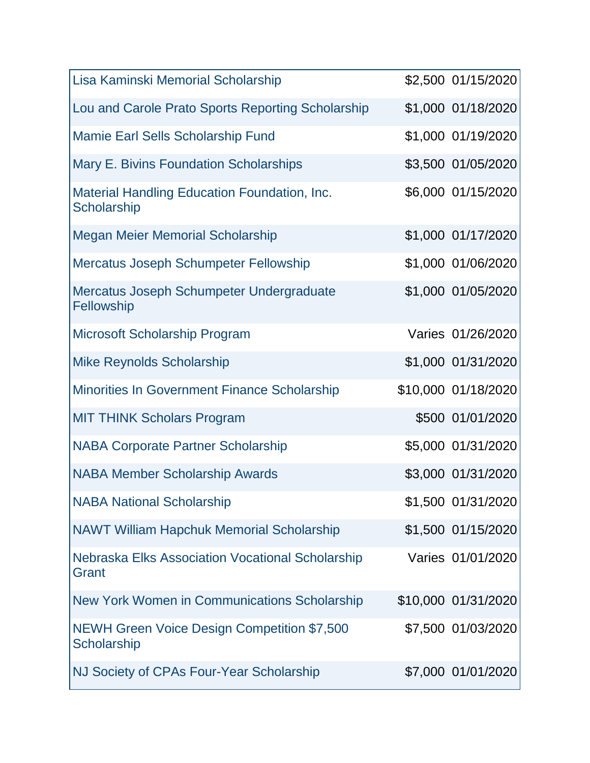| Lisa Kaminski Memorial Scholarship                                 | \$2,500 01/15/2020  |
|--------------------------------------------------------------------|---------------------|
| Lou and Carole Prato Sports Reporting Scholarship                  | \$1,000 01/18/2020  |
| <b>Mamie Earl Sells Scholarship Fund</b>                           | \$1,000 01/19/2020  |
| Mary E. Bivins Foundation Scholarships                             | \$3,500 01/05/2020  |
| <b>Material Handling Education Foundation, Inc.</b><br>Scholarship | \$6,000 01/15/2020  |
| <b>Megan Meier Memorial Scholarship</b>                            | \$1,000 01/17/2020  |
| <b>Mercatus Joseph Schumpeter Fellowship</b>                       | \$1,000 01/06/2020  |
| Mercatus Joseph Schumpeter Undergraduate<br>Fellowship             | \$1,000 01/05/2020  |
| Microsoft Scholarship Program                                      | Varies 01/26/2020   |
| <b>Mike Reynolds Scholarship</b>                                   | \$1,000 01/31/2020  |
| Minorities In Government Finance Scholarship                       | \$10,000 01/18/2020 |
| <b>MIT THINK Scholars Program</b>                                  | \$500 01/01/2020    |
| <b>NABA Corporate Partner Scholarship</b>                          | \$5,000 01/31/2020  |
| <b>NABA Member Scholarship Awards</b>                              | \$3,000 01/31/2020  |
| <b>NABA National Scholarship</b>                                   | \$1,500 01/31/2020  |
| <b>NAWT William Hapchuk Memorial Scholarship</b>                   | \$1,500 01/15/2020  |
| Nebraska Elks Association Vocational Scholarship<br>Grant          | Varies 01/01/2020   |
| New York Women in Communications Scholarship                       | \$10,000 01/31/2020 |
| <b>NEWH Green Voice Design Competition \$7,500</b><br>Scholarship  | \$7,500 01/03/2020  |
| NJ Society of CPAs Four-Year Scholarship                           | \$7,000 01/01/2020  |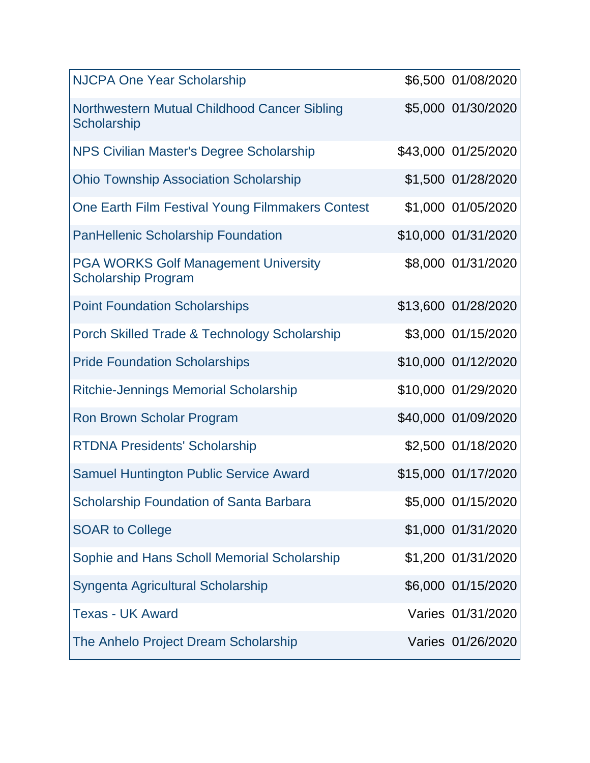| <b>NJCPA One Year Scholarship</b>                                         | \$6,500 01/08/2020  |
|---------------------------------------------------------------------------|---------------------|
| Northwestern Mutual Childhood Cancer Sibling<br>Scholarship               | \$5,000 01/30/2020  |
| NPS Civilian Master's Degree Scholarship                                  | \$43,000 01/25/2020 |
| <b>Ohio Township Association Scholarship</b>                              | \$1,500 01/28/2020  |
| One Earth Film Festival Young Filmmakers Contest                          | \$1,000 01/05/2020  |
| <b>PanHellenic Scholarship Foundation</b>                                 | \$10,000 01/31/2020 |
| <b>PGA WORKS Golf Management University</b><br><b>Scholarship Program</b> | \$8,000 01/31/2020  |
| <b>Point Foundation Scholarships</b>                                      | \$13,600 01/28/2020 |
| Porch Skilled Trade & Technology Scholarship                              | \$3,000 01/15/2020  |
| <b>Pride Foundation Scholarships</b>                                      | \$10,000 01/12/2020 |
| <b>Ritchie-Jennings Memorial Scholarship</b>                              | \$10,000 01/29/2020 |
| <b>Ron Brown Scholar Program</b>                                          | \$40,000 01/09/2020 |
| <b>RTDNA Presidents' Scholarship</b>                                      | \$2,500 01/18/2020  |
| <b>Samuel Huntington Public Service Award</b>                             | \$15,000 01/17/2020 |
| <b>Scholarship Foundation of Santa Barbara</b>                            | \$5,000 01/15/2020  |
| <b>SOAR to College</b>                                                    | \$1,000 01/31/2020  |
| Sophie and Hans Scholl Memorial Scholarship                               | \$1,200 01/31/2020  |
| Syngenta Agricultural Scholarship                                         | \$6,000 01/15/2020  |
| <b>Texas - UK Award</b>                                                   | Varies 01/31/2020   |
| The Anhelo Project Dream Scholarship                                      | Varies 01/26/2020   |